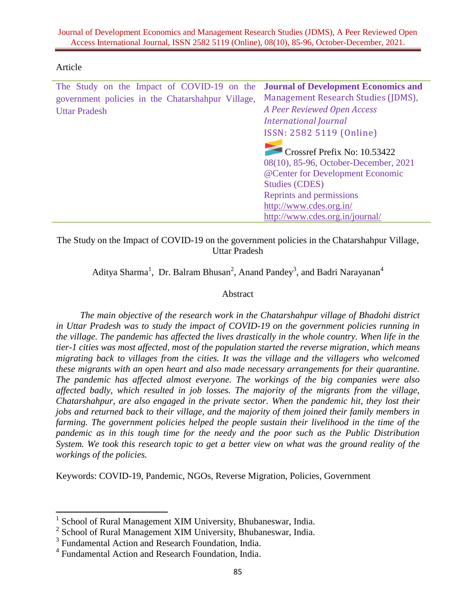### Article

 $\overline{a}$ 

| The Study on the Impact of COVID-19 on the        | <b>Journal of Development Economics and</b> |
|---------------------------------------------------|---------------------------------------------|
| government policies in the Chatarshahpur Village, | Management Research Studies (JDMS),         |
| <b>Uttar Pradesh</b>                              | A Peer Reviewed Open Access                 |
|                                                   | <b>International Journal</b>                |
|                                                   | ISSN: 2582 5119 (Online)                    |
|                                                   |                                             |
|                                                   | Crossref Prefix No: 10.53422                |
|                                                   | 08(10), 85-96, October-December, 2021       |
|                                                   | @Center for Development Economic            |
|                                                   | <b>Studies (CDES)</b>                       |
|                                                   | Reprints and permissions                    |
|                                                   | http://www.cdes.org.in/                     |
|                                                   | http://www.cdes.org.in/journal/             |
|                                                   |                                             |

The Study on the Impact of COVID-19 on the government policies in the Chatarshahpur Village, Uttar Pradesh

Aditya Sharma<sup>1</sup>, Dr. Balram Bhusan<sup>2</sup>, Anand Pandey<sup>3</sup>, and Badri Narayanan<sup>4</sup>

## Abstract

*The main objective of the research work in the Chatarshahpur village of Bhadohi district in Uttar Pradesh was to study the impact of COVID-19 on the government policies running in the village. The pandemic has affected the lives drastically in the whole country. When life in the tier-1 cities was most affected, most of the population started the reverse migration, which means migrating back to villages from the cities. It was the village and the villagers who welcomed these migrants with an open heart and also made necessary arrangements for their quarantine. The pandemic has affected almost everyone. The workings of the big companies were also affected badly, which resulted in job losses. The majority of the migrants from the village, Chatarshahpur, are also engaged in the private sector. When the pandemic hit, they lost their jobs and returned back to their village, and the majority of them joined their family members in farming. The government policies helped the people sustain their livelihood in the time of the pandemic as in this tough time for the needy and the poor such as the Public Distribution System. We took this research topic to get a better view on what was the ground reality of the workings of the policies.*

Keywords: COVID-19, Pandemic, NGOs, Reverse Migration, Policies, Government

<sup>1</sup> School of Rural Management XIM University, Bhubaneswar, India.

<sup>&</sup>lt;sup>2</sup> School of Rural Management XIM University, Bhubaneswar, India.

<sup>&</sup>lt;sup>3</sup> Fundamental Action and Research Foundation, India.

<sup>4</sup> Fundamental Action and Research Foundation, India.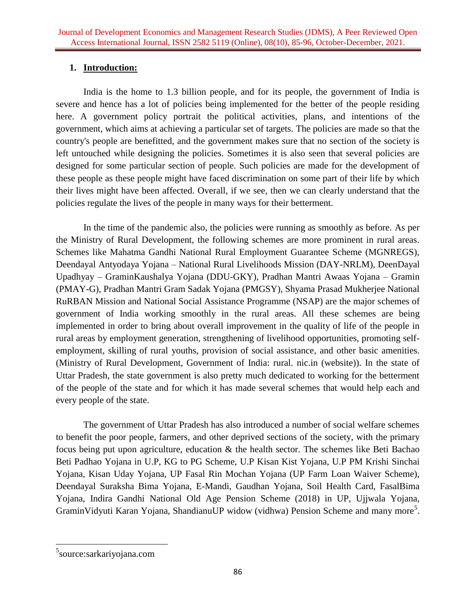# **1. Introduction:**

India is the home to 1.3 billion people, and for its people, the government of India is severe and hence has a lot of policies being implemented for the better of the people residing here. A government policy portrait the political activities, plans, and intentions of the government, which aims at achieving a particular set of targets. The policies are made so that the country's people are benefitted, and the government makes sure that no section of the society is left untouched while designing the policies. Sometimes it is also seen that several policies are designed for some particular section of people. Such policies are made for the development of these people as these people might have faced discrimination on some part of their life by which their lives might have been affected. Overall, if we see, then we can clearly understand that the policies regulate the lives of the people in many ways for their betterment.

In the time of the pandemic also, the policies were running as smoothly as before. As per the Ministry of Rural Development, the following schemes are more prominent in rural areas. Schemes like Mahatma Gandhi National Rural Employment Guarantee Scheme (MGNREGS), Deendayal Antyodaya Yojana – National Rural Livelihoods Mission (DAY-NRLM), DeenDayal Upadhyay – GraminKaushalya Yojana (DDU-GKY), Pradhan Mantri Awaas Yojana – Gramin (PMAY-G), Pradhan Mantri Gram Sadak Yojana (PMGSY), Shyama Prasad Mukherjee National RuRBAN Mission and National Social Assistance Programme (NSAP) are the major schemes of government of India working smoothly in the rural areas. All these schemes are being implemented in order to bring about overall improvement in the quality of life of the people in rural areas by employment generation, strengthening of livelihood opportunities, promoting selfemployment, skilling of rural youths, provision of social assistance, and other basic amenities. (Ministry of Rural Development, Government of India: rural. nic.in (website)). In the state of Uttar Pradesh, the state government is also pretty much dedicated to working for the betterment of the people of the state and for which it has made several schemes that would help each and every people of the state.

The government of Uttar Pradesh has also introduced a number of social welfare schemes to benefit the poor people, farmers, and other deprived sections of the society, with the primary focus being put upon agriculture, education & the health sector. The schemes like Beti Bachao Beti Padhao Yojana in U.P, KG to PG Scheme, U.P Kisan Kist Yojana, U.P PM Krishi Sinchai Yojana, Kisan Uday Yojana, UP Fasal Rin Mochan Yojana (UP Farm Loan Waiver Scheme), Deendayal Suraksha Bima Yojana, E-Mandi, Gaudhan Yojana, Soil Health Card, FasalBima Yojana, Indira Gandhi National Old Age Pension Scheme (2018) in UP, Ujjwala Yojana, GraminVidyuti Karan Yojana, ShandianuUP widow (vidhwa) Pension Scheme and many more<sup>5</sup>.

 $\overline{\phantom{a}}$ 

<sup>&</sup>lt;sup>5</sup>source:sarkariyojana.com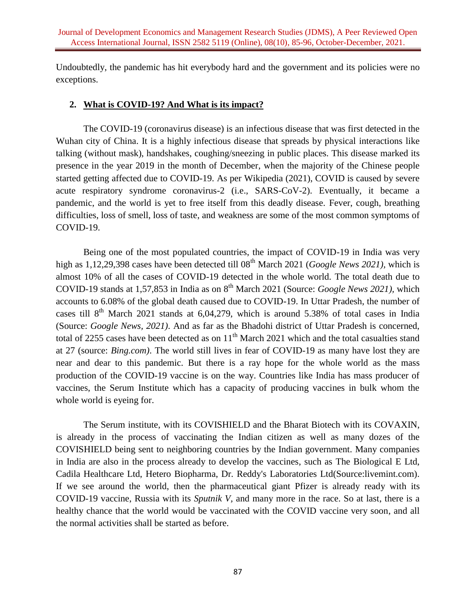Undoubtedly, the pandemic has hit everybody hard and the government and its policies were no exceptions.

## **2. What is COVID-19? And What is its impact?**

The COVID-19 (coronavirus disease) is an infectious disease that was first detected in the Wuhan city of China. It is a highly infectious disease that spreads by physical interactions like talking (without mask), handshakes, coughing/sneezing in public places. This disease marked its presence in the year 2019 in the month of December, when the majority of the Chinese people started getting affected due to COVID-19. As per Wikipedia (2021), COVID is caused by severe acute respiratory syndrome coronavirus-2 (i.e., SARS-CoV-2). Eventually, it became a pandemic, and the world is yet to free itself from this deadly disease. Fever, cough, breathing difficulties, loss of smell, loss of taste, and weakness are some of the most common symptoms of COVID-19.

Being one of the most populated countries, the impact of COVID-19 in India was very high as 1,12,29,398 cases have been detected till 08<sup>th</sup> March 2021 (*Google News 2021*), which is almost 10% of all the cases of COVID-19 detected in the whole world. The total death due to COVID-19 stands at 1,57,853 in India as on 8<sup>th</sup> March 2021 (Source: *Google News 2021*), which accounts to 6.08% of the global death caused due to COVID-19. In Uttar Pradesh, the number of cases till  $8<sup>th</sup>$  March 2021 stands at 6,04,279, which is around 5.38% of total cases in India (Source: *Google News, 2021)*. And as far as the Bhadohi district of Uttar Pradesh is concerned, total of 2255 cases have been detected as on  $11<sup>th</sup>$  March 2021 which and the total casualties stand at 27 (source: *Bing.com)*. The world still lives in fear of COVID-19 as many have lost they are near and dear to this pandemic. But there is a ray hope for the whole world as the mass production of the COVID-19 vaccine is on the way. Countries like India has mass producer of vaccines, the Serum Institute which has a capacity of producing vaccines in bulk whom the whole world is eyeing for.

The Serum institute, with its COVISHIELD and the Bharat Biotech with its COVAXIN, is already in the process of vaccinating the Indian citizen as well as many dozes of the COVISHIELD being sent to neighboring countries by the Indian government. Many companies in India are also in the process already to develop the vaccines, such as The Biological E Ltd, Cadila Healthcare Ltd, Hetero Biopharma, Dr. Reddy's Laboratories Ltd(Source:livemint.com). If we see around the world, then the pharmaceutical giant Pfizer is already ready with its COVID-19 vaccine, Russia with its *Sputnik V,* and many more in the race. So at last, there is a healthy chance that the world would be vaccinated with the COVID vaccine very soon, and all the normal activities shall be started as before.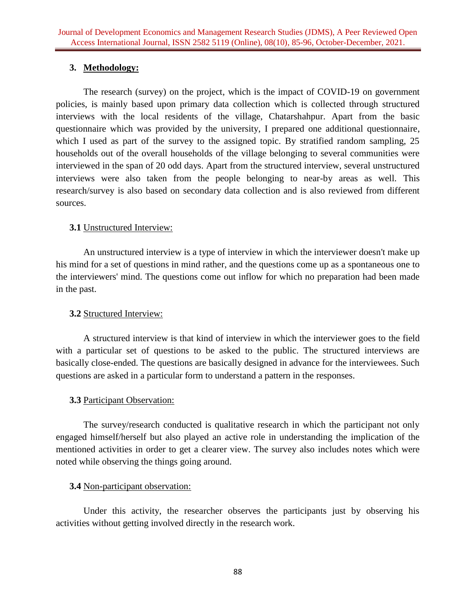# **3. Methodology:**

The research (survey) on the project, which is the impact of COVID-19 on government policies, is mainly based upon primary data collection which is collected through structured interviews with the local residents of the village, Chatarshahpur. Apart from the basic questionnaire which was provided by the university, I prepared one additional questionnaire, which I used as part of the survey to the assigned topic. By stratified random sampling, 25 households out of the overall households of the village belonging to several communities were interviewed in the span of 20 odd days. Apart from the structured interview, several unstructured interviews were also taken from the people belonging to near-by areas as well. This research/survey is also based on secondary data collection and is also reviewed from different sources.

## **3.1** Unstructured Interview:

An unstructured interview is a type of interview in which the interviewer doesn't make up his mind for a set of questions in mind rather, and the questions come up as a spontaneous one to the interviewers' mind. The questions come out inflow for which no preparation had been made in the past.

## **3.2** Structured Interview:

A structured interview is that kind of interview in which the interviewer goes to the field with a particular set of questions to be asked to the public. The structured interviews are basically close-ended. The questions are basically designed in advance for the interviewees. Such questions are asked in a particular form to understand a pattern in the responses.

## **3.3** Participant Observation:

The survey/research conducted is qualitative research in which the participant not only engaged himself/herself but also played an active role in understanding the implication of the mentioned activities in order to get a clearer view. The survey also includes notes which were noted while observing the things going around.

## **3.4** Non-participant observation:

Under this activity, the researcher observes the participants just by observing his activities without getting involved directly in the research work.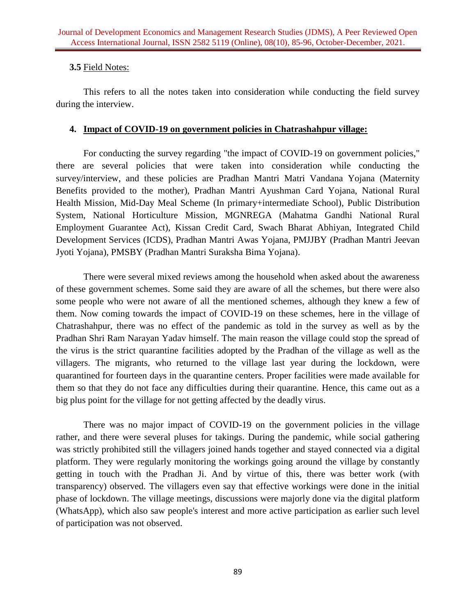## **3.5** Field Notes:

This refers to all the notes taken into consideration while conducting the field survey during the interview.

## **4. Impact of COVID-19 on government policies in Chatrashahpur village:**

For conducting the survey regarding "the impact of COVID-19 on government policies," there are several policies that were taken into consideration while conducting the survey/interview, and these policies are Pradhan Mantri Matri Vandana Yojana (Maternity Benefits provided to the mother), Pradhan Mantri Ayushman Card Yojana, National Rural Health Mission, Mid-Day Meal Scheme (In primary+intermediate School), Public Distribution System, National Horticulture Mission, MGNREGA (Mahatma Gandhi National Rural Employment Guarantee Act), Kissan Credit Card, Swach Bharat Abhiyan, Integrated Child Development Services (ICDS), Pradhan Mantri Awas Yojana, PMJJBY (Pradhan Mantri Jeevan Jyoti Yojana), PMSBY (Pradhan Mantri Suraksha Bima Yojana).

There were several mixed reviews among the household when asked about the awareness of these government schemes. Some said they are aware of all the schemes, but there were also some people who were not aware of all the mentioned schemes, although they knew a few of them. Now coming towards the impact of COVID-19 on these schemes, here in the village of Chatrashahpur, there was no effect of the pandemic as told in the survey as well as by the Pradhan Shri Ram Narayan Yadav himself. The main reason the village could stop the spread of the virus is the strict quarantine facilities adopted by the Pradhan of the village as well as the villagers. The migrants, who returned to the village last year during the lockdown, were quarantined for fourteen days in the quarantine centers. Proper facilities were made available for them so that they do not face any difficulties during their quarantine. Hence, this came out as a big plus point for the village for not getting affected by the deadly virus.

There was no major impact of COVID-19 on the government policies in the village rather, and there were several pluses for takings. During the pandemic, while social gathering was strictly prohibited still the villagers joined hands together and stayed connected via a digital platform. They were regularly monitoring the workings going around the village by constantly getting in touch with the Pradhan Ji. And by virtue of this, there was better work (with transparency) observed. The villagers even say that effective workings were done in the initial phase of lockdown. The village meetings, discussions were majorly done via the digital platform (WhatsApp), which also saw people's interest and more active participation as earlier such level of participation was not observed.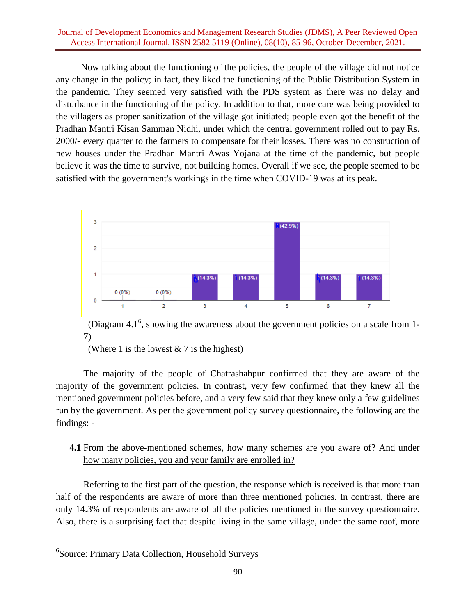#### Journal of Development Economics and Management Research Studies (JDMS), A Peer Reviewed Open Access International Journal, ISSN 2582 5119 (Online), 08(10), 85-96, October-December, 2021.

Now talking about the functioning of the policies, the people of the village did not notice any change in the policy; in fact, they liked the functioning of the Public Distribution System in the pandemic. They seemed very satisfied with the PDS system as there was no delay and disturbance in the functioning of the policy. In addition to that, more care was being provided to the villagers as proper sanitization of the village got initiated; people even got the benefit of the Pradhan Mantri Kisan Samman Nidhi, under which the central government rolled out to pay Rs. 2000/- every quarter to the farmers to compensate for their losses. There was no construction of new houses under the Pradhan Mantri Awas Yojana at the time of the pandemic, but people believe it was the time to survive, not building homes. Overall if we see, the people seemed to be satisfied with the government's workings in the time when COVID-19 was at its peak.



<span id="page-5-0"></span>(Diagram 4.1 $<sup>6</sup>$ , showing the awareness about the government policies on a scale from 1-</sup> 7)

(Where 1 is the lowest  $& 7$  is the highest)

The majority of the people of Chatrashahpur confirmed that they are aware of the majority of the government policies. In contrast, very few confirmed that they knew all the mentioned government policies before, and a very few said that they knew only a few guidelines run by the government. As per the government policy survey questionnaire, the following are the findings: -

## **4.1** From the above-mentioned schemes, how many schemes are you aware of? And under how many policies, you and your family are enrolled in?

Referring to the first part of the question, the response which is received is that more than half of the respondents are aware of more than three mentioned policies. In contrast, there are only 14.3% of respondents are aware of all the policies mentioned in the survey questionnaire. Also, there is a surprising fact that despite living in the same village, under the same roof, more

 6 Source: Primary Data Collection, Household Surveys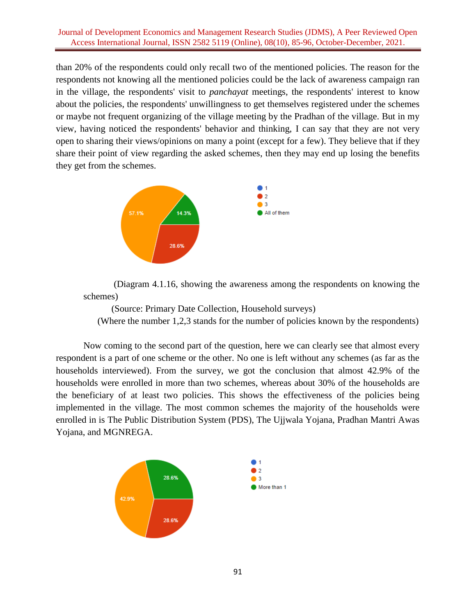#### Journal of Development Economics and Management Research Studies (JDMS), A Peer Reviewed Open Access International Journal, ISSN 2582 5119 (Online), 08(10), 85-96, October-December, 2021.

than 20% of the respondents could only recall two of the mentioned policies. The reason for the respondents not knowing all the mentioned policies could be the lack of awareness campaign ran in the village, the respondents' visit to *panchayat* meetings, the respondents' interest to know about the policies, the respondents' unwillingness to get themselves registered under the schemes or maybe not frequent organizing of the village meeting by the Pradhan of the village. But in my view, having noticed the respondents' behavior and thinking, I can say that they are not very open to sharing their views/opinions on many a point (except for a few). They believe that if they share their point of view regarding the asked schemes, then they may end up losing the benefits they get from the schemes.



 (Diagram 4.1.[16,](#page-5-0) showing the awareness among the respondents on knowing the schemes)

 (Source: Primary Date Collection, Household surveys) (Where the number 1,2,3 stands for the number of policies known by the respondents)

Now coming to the second part of the question, here we can clearly see that almost every respondent is a part of one scheme or the other. No one is left without any schemes (as far as the households interviewed). From the survey, we got the conclusion that almost 42.9% of the households were enrolled in more than two schemes, whereas about 30% of the households are the beneficiary of at least two policies. This shows the effectiveness of the policies being implemented in the village. The most common schemes the majority of the households were enrolled in is The Public Distribution System (PDS), The Ujjwala Yojana, Pradhan Mantri Awas Yojana, and MGNREGA.

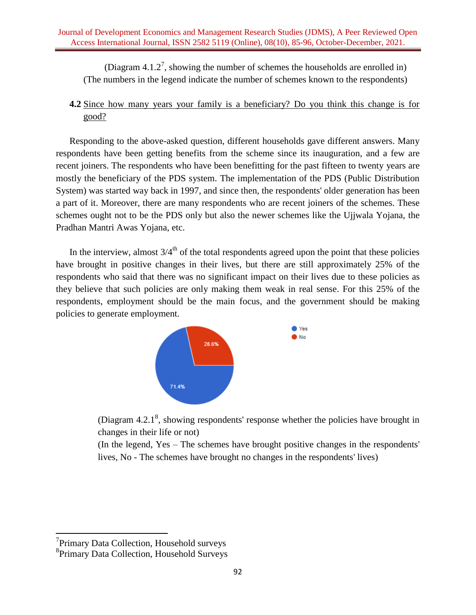(Diagram  $4.1.2^7$ , showing the number of schemes the households are enrolled in) (The numbers in the legend indicate the number of schemes known to the respondents)

# **4.2** Since how many years your family is a beneficiary? Do you think this change is for good?

Responding to the above-asked question, different households gave different answers. Many respondents have been getting benefits from the scheme since its inauguration, and a few are recent joiners. The respondents who have been benefitting for the past fifteen to twenty years are mostly the beneficiary of the PDS system. The implementation of the PDS (Public Distribution System) was started way back in 1997, and since then, the respondents' older generation has been a part of it. Moreover, there are many respondents who are recent joiners of the schemes. These schemes ought not to be the PDS only but also the newer schemes like the Ujjwala Yojana, the Pradhan Mantri Awas Yojana, etc.

In the interview, almost  $3/4<sup>th</sup>$  of the total respondents agreed upon the point that these policies have brought in positive changes in their lives, but there are still approximately 25% of the respondents who said that there was no significant impact on their lives due to these policies as they believe that such policies are only making them weak in real sense. For this 25% of the respondents, employment should be the main focus, and the government should be making policies to generate employment.



(Diagram  $4.2.1^8$ , showing respondents' response whether the policies have brought in changes in their life or not)

(In the legend, Yes – The schemes have brought positive changes in the respondents' lives, No - The schemes have brought no changes in the respondents' lives)

 $\overline{\phantom{a}}$ 

<sup>&</sup>lt;sup>7</sup>Primary Data Collection, Household surveys

<sup>8</sup> Primary Data Collection, Household Surveys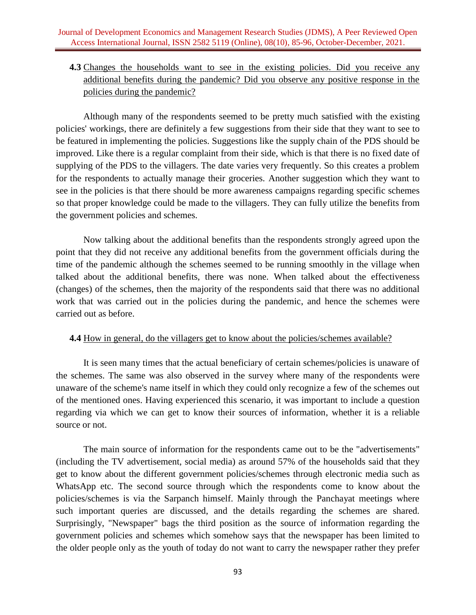# **4.3** Changes the households want to see in the existing policies. Did you receive any additional benefits during the pandemic? Did you observe any positive response in the policies during the pandemic?

Although many of the respondents seemed to be pretty much satisfied with the existing policies' workings, there are definitely a few suggestions from their side that they want to see to be featured in implementing the policies. Suggestions like the supply chain of the PDS should be improved. Like there is a regular complaint from their side, which is that there is no fixed date of supplying of the PDS to the villagers. The date varies very frequently. So this creates a problem for the respondents to actually manage their groceries. Another suggestion which they want to see in the policies is that there should be more awareness campaigns regarding specific schemes so that proper knowledge could be made to the villagers. They can fully utilize the benefits from the government policies and schemes.

Now talking about the additional benefits than the respondents strongly agreed upon the point that they did not receive any additional benefits from the government officials during the time of the pandemic although the schemes seemed to be running smoothly in the village when talked about the additional benefits, there was none. When talked about the effectiveness (changes) of the schemes, then the majority of the respondents said that there was no additional work that was carried out in the policies during the pandemic, and hence the schemes were carried out as before.

### **4.4** How in general, do the villagers get to know about the policies/schemes available?

It is seen many times that the actual beneficiary of certain schemes/policies is unaware of the schemes. The same was also observed in the survey where many of the respondents were unaware of the scheme's name itself in which they could only recognize a few of the schemes out of the mentioned ones. Having experienced this scenario, it was important to include a question regarding via which we can get to know their sources of information, whether it is a reliable source or not.

The main source of information for the respondents came out to be the "advertisements" (including the TV advertisement, social media) as around 57% of the households said that they get to know about the different government policies/schemes through electronic media such as WhatsApp etc. The second source through which the respondents come to know about the policies/schemes is via the Sarpanch himself. Mainly through the Panchayat meetings where such important queries are discussed, and the details regarding the schemes are shared. Surprisingly, "Newspaper" bags the third position as the source of information regarding the government policies and schemes which somehow says that the newspaper has been limited to the older people only as the youth of today do not want to carry the newspaper rather they prefer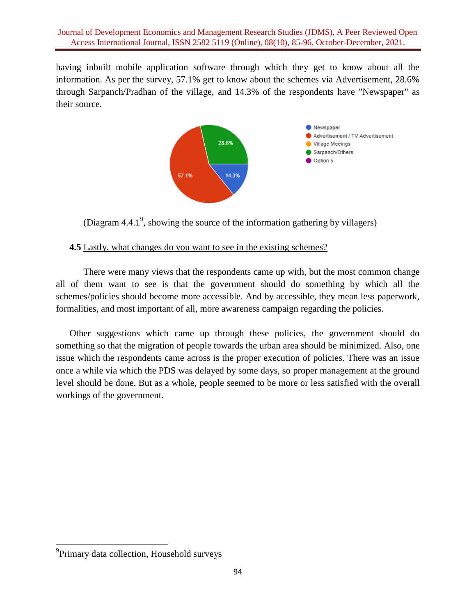having inbuilt mobile application software through which they get to know about all the information. As per the survey, 57.1% get to know about the schemes via Advertisement, 28.6% through Sarpanch/Pradhan of the village, and 14.3% of the respondents have "Newspaper" as their source.



(Diagram  $4.4.1^9$ , showing the source of the information gathering by villagers)

## **4.5** Lastly, what changes do you want to see in the existing schemes?

There were many views that the respondents came up with, but the most common change all of them want to see is that the government should do something by which all the schemes/policies should become more accessible. And by accessible, they mean less paperwork, formalities, and most important of all, more awareness campaign regarding the policies.

Other suggestions which came up through these policies, the government should do something so that the migration of people towards the urban area should be minimized. Also, one issue which the respondents came across is the proper execution of policies. There was an issue once a while via which the PDS was delayed by some days, so proper management at the ground level should be done. But as a whole, people seemed to be more or less satisfied with the overall workings of the government.

<sup>&</sup>lt;sup>9</sup><br>Primary data collection, Household surveys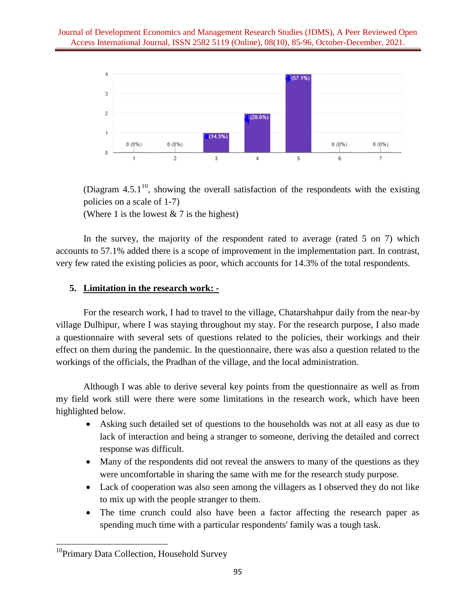

(Diagram  $4.5.1^{10}$ , showing the overall satisfaction of the respondents with the existing policies on a scale of 1-7)

(Where 1 is the lowest  $& 7$  is the highest)

In the survey, the majority of the respondent rated to average (rated 5 on 7) which accounts to 57.1% added there is a scope of improvement in the implementation part. In contrast, very few rated the existing policies as poor, which accounts for 14.3% of the total respondents.

# **5. Limitation in the research work: -**

For the research work, I had to travel to the village, Chatarshahpur daily from the near-by village Dulhipur, where I was staying throughout my stay. For the research purpose, I also made a questionnaire with several sets of questions related to the policies, their workings and their effect on them during the pandemic. In the questionnaire, there was also a question related to the workings of the officials, the Pradhan of the village, and the local administration.

Although I was able to derive several key points from the questionnaire as well as from my field work still were there were some limitations in the research work, which have been highlighted below.

- Asking such detailed set of questions to the households was not at all easy as due to lack of interaction and being a stranger to someone, deriving the detailed and correct response was difficult.
- Many of the respondents did not reveal the answers to many of the questions as they were uncomfortable in sharing the same with me for the research study purpose.
- Lack of cooperation was also seen among the villagers as I observed they do not like to mix up with the people stranger to them.
- The time crunch could also have been a factor affecting the research paper as spending much time with a particular respondents' family was a tough task.

 $\overline{\phantom{a}}$ <sup>10</sup>Primary Data Collection, Household Survey